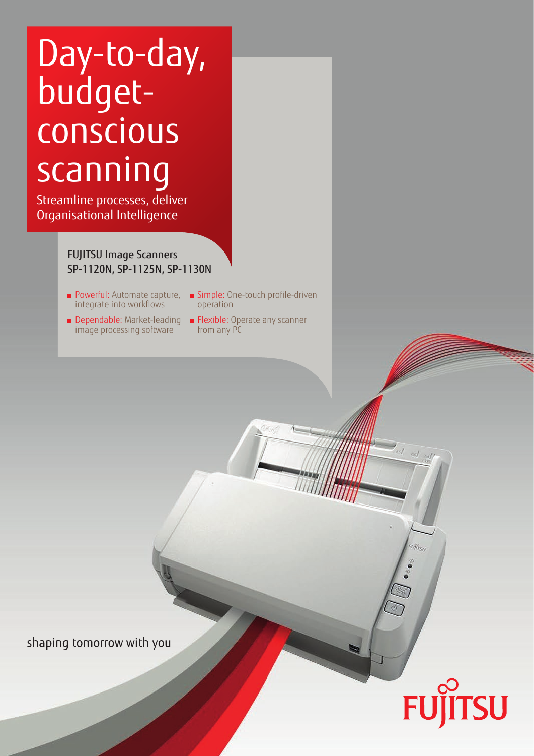# Day-to-day, budgetconscious scanning

Streamline processes, deliver Organisational Intelligence

### FUJITSU Image Scanners SP-1120N, SP-1125N, SP-1130N

- integrate into workflows
- image processing software
- Powerful: Automate capture, Simple: One-touch profile-driven operation
- Dependable: Market-leading Flexible: Operate any scanner from any PC

shaping tomorrow with you

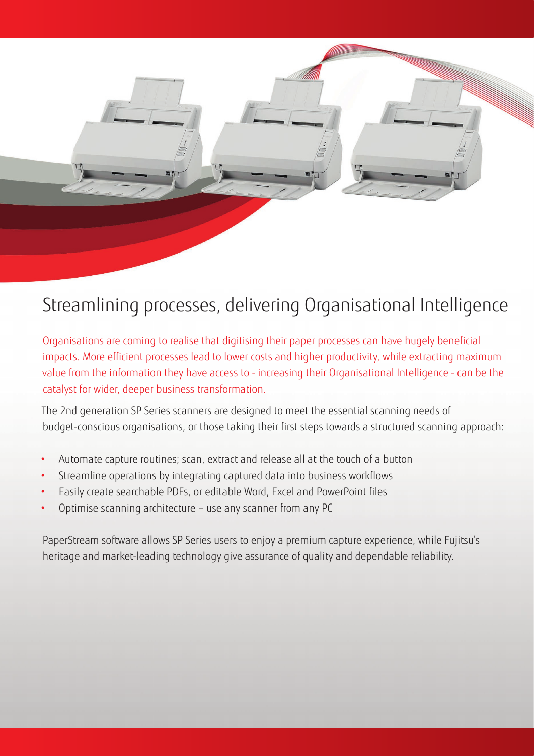

## Streamlining processes, delivering Organisational Intelligence

Organisations are coming to realise that digitising their paper processes can have hugely beneficial impacts. More efficient processes lead to lower costs and higher productivity, while extracting maximum value from the information they have access to - increasing their Organisational Intelligence - can be the catalyst for wider, deeper business transformation.

The 2nd generation SP Series scanners are designed to meet the essential scanning needs of budget-conscious organisations, or those taking their first steps towards a structured scanning approach:

- Automate capture routines; scan, extract and release all at the touch of a button
- Streamline operations by integrating captured data into business workflows
- Easily create searchable PDFs, or editable Word, Excel and PowerPoint files
- Optimise scanning architecture use any scanner from any PC

PaperStream software allows SP Series users to enjoy a premium capture experience, while Fujitsu's heritage and market-leading technology give assurance of quality and dependable reliability.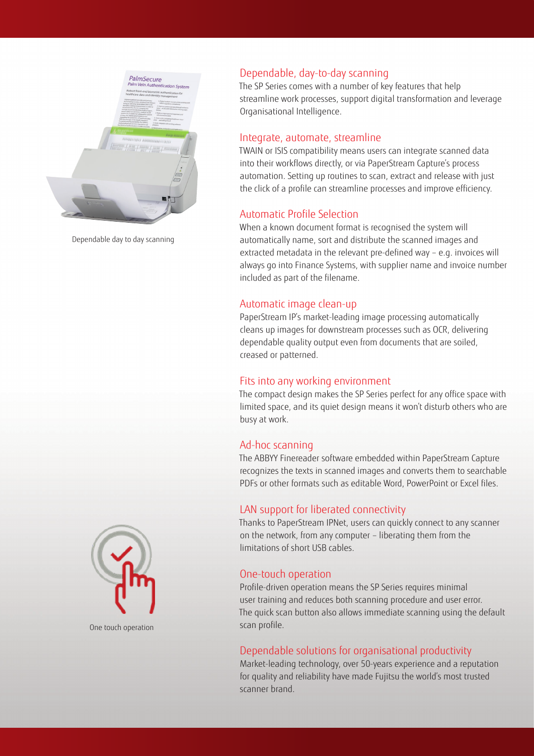

Dependable day to day scanning



One touch operation

#### Dependable, day-to-day scanning

The SP Series comes with a number of key features that help streamline work processes, support digital transformation and leverage Organisational Intelligence.

#### Integrate, automate, streamline

TWAIN or ISIS compatibility means users can integrate scanned data into their workflows directly, or via PaperStream Capture's process automation. Setting up routines to scan, extract and release with just the click of a profile can streamline processes and improve efficiency.

#### Automatic Profile Selection

When a known document format is recognised the system will automatically name, sort and distribute the scanned images and extracted metadata in the relevant pre-defined way – e.g. invoices will always go into Finance Systems, with supplier name and invoice number included as part of the filename.

#### Automatic image clean-up

PaperStream IP's market-leading image processing automatically cleans up images for downstream processes such as OCR, delivering dependable quality output even from documents that are soiled, creased or patterned.

#### Fits into any working environment

The compact design makes the SP Series perfect for any office space with limited space, and its quiet design means it won't disturb others who are busy at work.

#### Ad-hoc scanning

The ABBYY Finereader software embedded within PaperStream Capture recognizes the texts in scanned images and converts them to searchable PDFs or other formats such as editable Word, PowerPoint or Excel files.

#### LAN support for liberated connectivity

Thanks to PaperStream IPNet, users can quickly connect to any scanner on the network, from any computer – liberating them from the limitations of short USB cables.

#### One-touch operation

Profile-driven operation means the SP Series requires minimal user training and reduces both scanning procedure and user error. The quick scan button also allows immediate scanning using the default scan profile.

#### Dependable solutions for organisational productivity

Market-leading technology, over 50-years experience and a reputation for quality and reliability have made Fujitsu the world's most trusted scanner brand.